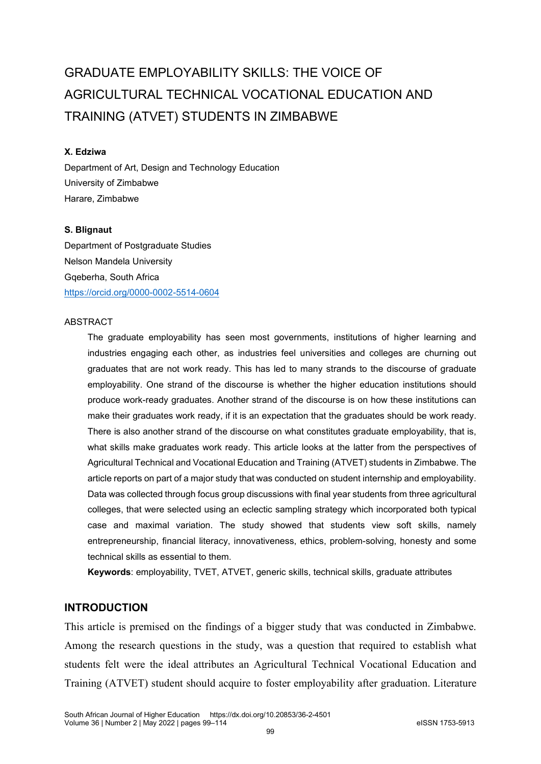# GRADUATE EMPLOYABILITY SKILLS: THE VOICE OF AGRICULTURAL TECHNICAL VOCATIONAL EDUCATION AND TRAINING (ATVET) STUDENTS IN ZIMBABWE

## **X. Edziwa**

Department of Art, Design and Technology Education University of Zimbabwe Harare, Zimbabwe

#### **S. Blignaut**

Department of Postgraduate Studies Nelson Mandela University Gqeberha, South Africa <https://orcid.org/0000-0002-5514-0604>

#### ABSTRACT

The graduate employability has seen most governments, institutions of higher learning and industries engaging each other, as industries feel universities and colleges are churning out graduates that are not work ready. This has led to many strands to the discourse of graduate employability. One strand of the discourse is whether the higher education institutions should produce work-ready graduates. Another strand of the discourse is on how these institutions can make their graduates work ready, if it is an expectation that the graduates should be work ready. There is also another strand of the discourse on what constitutes graduate employability, that is, what skills make graduates work ready. This article looks at the latter from the perspectives of Agricultural Technical and Vocational Education and Training (ATVET) students in Zimbabwe. The article reports on part of a major study that was conducted on student internship and employability. Data was collected through focus group discussions with final year students from three agricultural colleges, that were selected using an eclectic sampling strategy which incorporated both typical case and maximal variation. The study showed that students view soft skills, namely entrepreneurship, financial literacy, innovativeness, ethics, problem-solving, honesty and some technical skills as essential to them.

**Keywords**: employability, TVET, ATVET, generic skills, technical skills, graduate attributes

# **INTRODUCTION**

This article is premised on the findings of a bigger study that was conducted in Zimbabwe. Among the research questions in the study, was a question that required to establish what students felt were the ideal attributes an Agricultural Technical Vocational Education and Training (ATVET) student should acquire to foster employability after graduation. Literature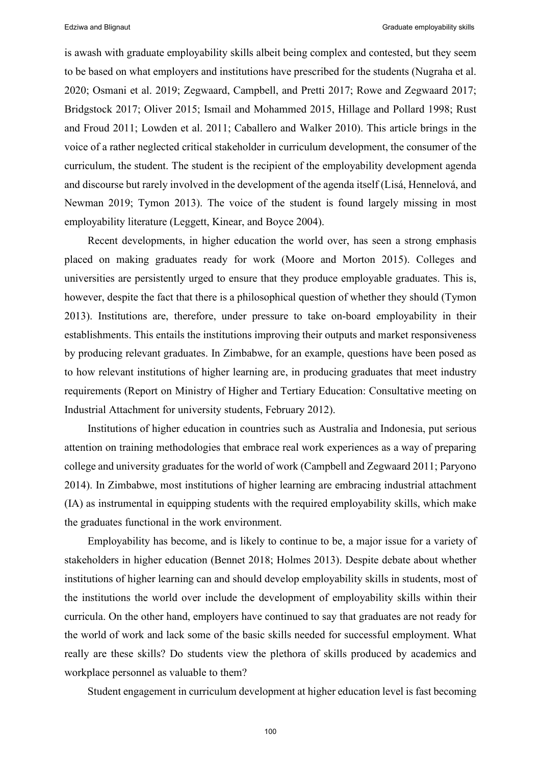is awash with graduate employability skills albeit being complex and contested, but they seem to be based on what employers and institutions have prescribed for the students (Nugraha et al. 2020; Osmani et al. 2019; Zegwaard, Campbell, and Pretti 2017; Rowe and Zegwaard 2017; Bridgstock 2017; Oliver 2015; Ismail and Mohammed 2015, Hillage and Pollard 1998; Rust and Froud 2011; Lowden et al. 2011; Caballero and Walker 2010). This article brings in the voice of a rather neglected critical stakeholder in curriculum development, the consumer of the curriculum, the student. The student is the recipient of the employability development agenda and discourse but rarely involved in the development of the agenda itself (Lisá, Hennelová, and Newman 2019; Tymon 2013). The voice of the student is found largely missing in most employability literature (Leggett, Kinear, and Boyce 2004).

Recent developments, in higher education the world over, has seen a strong emphasis placed on making graduates ready for work (Moore and Morton 2015). Colleges and universities are persistently urged to ensure that they produce employable graduates. This is, however, despite the fact that there is a philosophical question of whether they should (Tymon 2013). Institutions are, therefore, under pressure to take on-board employability in their establishments. This entails the institutions improving their outputs and market responsiveness by producing relevant graduates. In Zimbabwe, for an example, questions have been posed as to how relevant institutions of higher learning are, in producing graduates that meet industry requirements (Report on Ministry of Higher and Tertiary Education: Consultative meeting on Industrial Attachment for university students, February 2012).

Institutions of higher education in countries such as Australia and Indonesia, put serious attention on training methodologies that embrace real work experiences as a way of preparing college and university graduates for the world of work (Campbell and Zegwaard 2011; Paryono 2014). In Zimbabwe, most institutions of higher learning are embracing industrial attachment (IA) as instrumental in equipping students with the required employability skills, which make the graduates functional in the work environment.

Employability has become, and is likely to continue to be, a major issue for a variety of stakeholders in higher education (Bennet 2018; Holmes 2013). Despite debate about whether institutions of higher learning can and should develop employability skills in students, most of the institutions the world over include the development of employability skills within their curricula. On the other hand, employers have continued to say that graduates are not ready for the world of work and lack some of the basic skills needed for successful employment. What really are these skills? Do students view the plethora of skills produced by academics and workplace personnel as valuable to them?

Student engagement in curriculum development at higher education level is fast becoming

100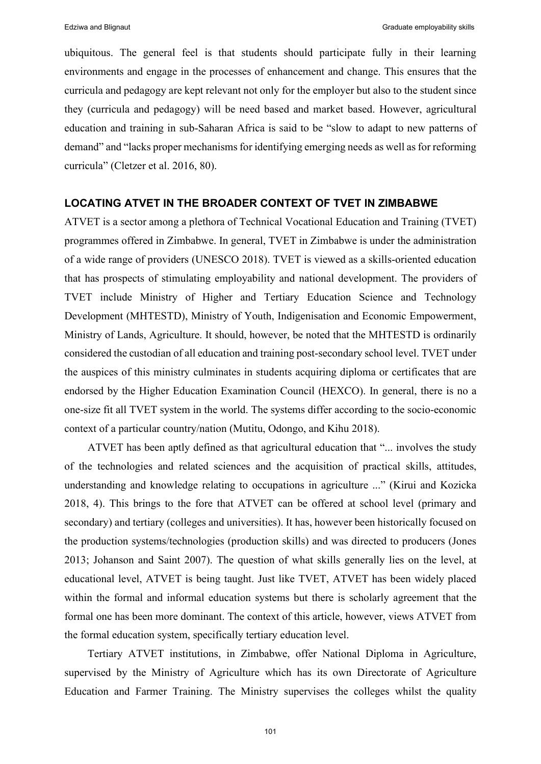ubiquitous. The general feel is that students should participate fully in their learning environments and engage in the processes of enhancement and change. This ensures that the curricula and pedagogy are kept relevant not only for the employer but also to the student since they (curricula and pedagogy) will be need based and market based. However, agricultural education and training in sub-Saharan Africa is said to be "slow to adapt to new patterns of demand" and "lacks proper mechanisms for identifying emerging needs as well as for reforming curricula" (Cletzer et al. 2016, 80).

## **LOCATING ATVET IN THE BROADER CONTEXT OF TVET IN ZIMBABWE**

ATVET is a sector among a plethora of Technical Vocational Education and Training (TVET) programmes offered in Zimbabwe. In general, TVET in Zimbabwe is under the administration of a wide range of providers (UNESCO 2018). TVET is viewed as a skills-oriented education that has prospects of stimulating employability and national development. The providers of TVET include Ministry of Higher and Tertiary Education Science and Technology Development (MHTESTD), Ministry of Youth, Indigenisation and Economic Empowerment, Ministry of Lands, Agriculture. It should, however, be noted that the MHTESTD is ordinarily considered the custodian of all education and training post-secondary school level. TVET under the auspices of this ministry culminates in students acquiring diploma or certificates that are endorsed by the Higher Education Examination Council (HEXCO). In general, there is no a one-size fit all TVET system in the world. The systems differ according to the socio-economic context of a particular country/nation (Mutitu, Odongo, and Kihu 2018).

ATVET has been aptly defined as that agricultural education that "... involves the study of the technologies and related sciences and the acquisition of practical skills, attitudes, understanding and knowledge relating to occupations in agriculture ..." (Kirui and Kozicka 2018, 4). This brings to the fore that ATVET can be offered at school level (primary and secondary) and tertiary (colleges and universities). It has, however been historically focused on the production systems/technologies (production skills) and was directed to producers (Jones 2013; Johanson and Saint 2007). The question of what skills generally lies on the level, at educational level, ATVET is being taught. Just like TVET, ATVET has been widely placed within the formal and informal education systems but there is scholarly agreement that the formal one has been more dominant. The context of this article, however, views ATVET from the formal education system, specifically tertiary education level.

Tertiary ATVET institutions, in Zimbabwe, offer National Diploma in Agriculture, supervised by the Ministry of Agriculture which has its own Directorate of Agriculture Education and Farmer Training. The Ministry supervises the colleges whilst the quality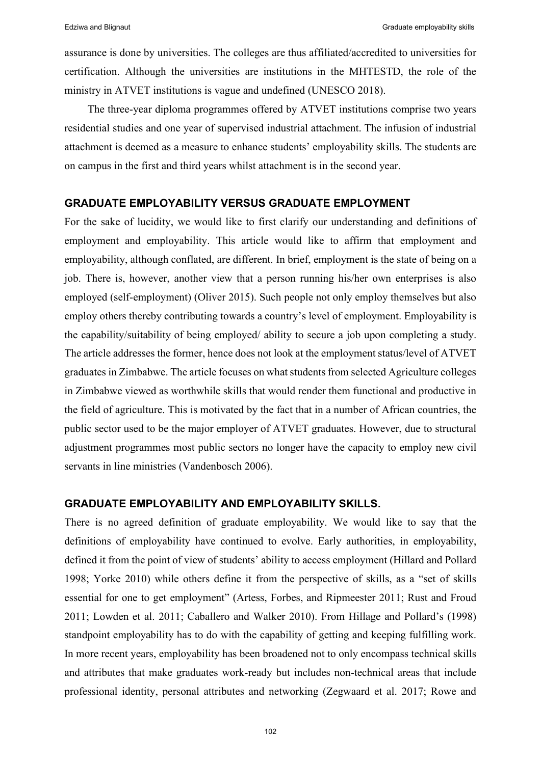assurance is done by universities. The colleges are thus affiliated/accredited to universities for certification. Although the universities are institutions in the MHTESTD, the role of the ministry in ATVET institutions is vague and undefined (UNESCO 2018).

The three-year diploma programmes offered by ATVET institutions comprise two years residential studies and one year of supervised industrial attachment. The infusion of industrial attachment is deemed as a measure to enhance students' employability skills. The students are on campus in the first and third years whilst attachment is in the second year.

## **GRADUATE EMPLOYABILITY VERSUS GRADUATE EMPLOYMENT**

For the sake of lucidity, we would like to first clarify our understanding and definitions of employment and employability. This article would like to affirm that employment and employability, although conflated, are different. In brief, employment is the state of being on a job. There is, however, another view that a person running his/her own enterprises is also employed (self-employment) (Oliver 2015). Such people not only employ themselves but also employ others thereby contributing towards a country's level of employment. Employability is the capability/suitability of being employed/ ability to secure a job upon completing a study. The article addresses the former, hence does not look at the employment status/level of ATVET graduates in Zimbabwe. The article focuses on what students from selected Agriculture colleges in Zimbabwe viewed as worthwhile skills that would render them functional and productive in the field of agriculture. This is motivated by the fact that in a number of African countries, the public sector used to be the major employer of ATVET graduates. However, due to structural adjustment programmes most public sectors no longer have the capacity to employ new civil servants in line ministries (Vandenbosch 2006).

#### **GRADUATE EMPLOYABILITY AND EMPLOYABILITY SKILLS.**

There is no agreed definition of graduate employability. We would like to say that the definitions of employability have continued to evolve. Early authorities, in employability, defined it from the point of view of students' ability to access employment (Hillard and Pollard 1998; Yorke 2010) while others define it from the perspective of skills, as a "set of skills essential for one to get employment" (Artess, Forbes, and Ripmeester 2011; Rust and Froud 2011; Lowden et al. 2011; Caballero and Walker 2010). From Hillage and Pollard's (1998) standpoint employability has to do with the capability of getting and keeping fulfilling work. In more recent years, employability has been broadened not to only encompass technical skills and attributes that make graduates work-ready but includes non-technical areas that include professional identity, personal attributes and networking (Zegwaard et al. 2017; Rowe and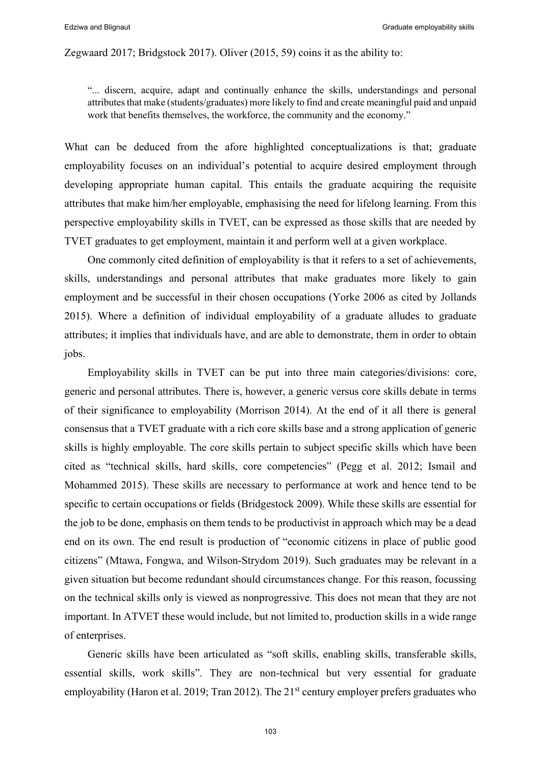#### Zegwaard 2017; Bridgstock 2017). Oliver (2015, 59) coins it as the ability to:

"... discern, acquire, adapt and continually enhance the skills, understandings and personal attributes that make (students/graduates) more likely to find and create meaningful paid and unpaid work that benefits themselves, the workforce, the community and the economy."

What can be deduced from the afore highlighted conceptualizations is that; graduate employability focuses on an individual's potential to acquire desired employment through developing appropriate human capital. This entails the graduate acquiring the requisite attributes that make him/her employable, emphasising the need for lifelong learning. From this perspective employability skills in TVET, can be expressed as those skills that are needed by TVET graduates to get employment, maintain it and perform well at a given workplace.

One commonly cited definition of employability is that it refers to a set of achievements, skills, understandings and personal attributes that make graduates more likely to gain employment and be successful in their chosen occupations (Yorke 2006 as cited by Jollands 2015). Where a definition of individual employability of a graduate alludes to graduate attributes; it implies that individuals have, and are able to demonstrate, them in order to obtain jobs.

Employability skills in TVET can be put into three main categories/divisions: core, generic and personal attributes. There is, however, a generic versus core skills debate in terms of their significance to employability (Morrison 2014). At the end of it all there is general consensus that a TVET graduate with a rich core skills base and a strong application of generic skills is highly employable. The core skills pertain to subject specific skills which have been cited as "technical skills, hard skills, core competencies" (Pegg et al. 2012; Ismail and Mohammed 2015). These skills are necessary to performance at work and hence tend to be specific to certain occupations or fields (Bridgestock 2009). While these skills are essential for the job to be done, emphasis on them tends to be productivist in approach which may be a dead end on its own. The end result is production of "economic citizens in place of public good citizens" (Mtawa, Fongwa, and Wilson-Strydom 2019). Such graduates may be relevant in a given situation but become redundant should circumstances change. For this reason, focussing on the technical skills only is viewed as nonprogressive. This does not mean that they are not important. In ATVET these would include, but not limited to, production skills in a wide range of enterprises.

Generic skills have been articulated as "soft skills, enabling skills, transferable skills, essential skills, work skills". They are non-technical but very essential for graduate employability (Haron et al. 2019; Tran 2012). The  $21<sup>st</sup>$  century employer prefers graduates who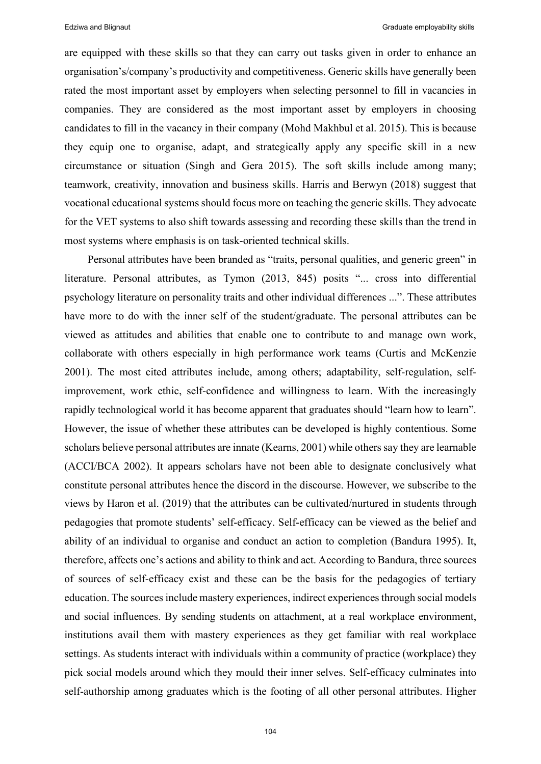are equipped with these skills so that they can carry out tasks given in order to enhance an organisation's/company's productivity and competitiveness. Generic skills have generally been rated the most important asset by employers when selecting personnel to fill in vacancies in companies. They are considered as the most important asset by employers in choosing candidates to fill in the vacancy in their company (Mohd Makhbul et al. 2015). This is because they equip one to organise, adapt, and strategically apply any specific skill in a new circumstance or situation (Singh and Gera 2015). The soft skills include among many; teamwork, creativity, innovation and business skills. Harris and Berwyn (2018) suggest that vocational educational systems should focus more on teaching the generic skills. They advocate for the VET systems to also shift towards assessing and recording these skills than the trend in most systems where emphasis is on task-oriented technical skills.

Personal attributes have been branded as "traits, personal qualities, and generic green" in literature. Personal attributes, as Tymon (2013, 845) posits "... cross into differential psychology literature on personality traits and other individual differences ...". These attributes have more to do with the inner self of the student/graduate. The personal attributes can be viewed as attitudes and abilities that enable one to contribute to and manage own work, collaborate with others especially in high performance work teams (Curtis and McKenzie 2001). The most cited attributes include, among others; adaptability, self-regulation, selfimprovement, work ethic, self-confidence and willingness to learn. With the increasingly rapidly technological world it has become apparent that graduates should "learn how to learn". However, the issue of whether these attributes can be developed is highly contentious. Some scholars believe personal attributes are innate (Kearns, 2001) while others say they are learnable (ACCI/BCA 2002). It appears scholars have not been able to designate conclusively what constitute personal attributes hence the discord in the discourse. However, we subscribe to the views by Haron et al. (2019) that the attributes can be cultivated/nurtured in students through pedagogies that promote students' self-efficacy. Self-efficacy can be viewed as the belief and ability of an individual to organise and conduct an action to completion (Bandura 1995). It, therefore, affects one's actions and ability to think and act. According to Bandura, three sources of sources of self-efficacy exist and these can be the basis for the pedagogies of tertiary education. The sources include mastery experiences, indirect experiences through social models and social influences. By sending students on attachment, at a real workplace environment, institutions avail them with mastery experiences as they get familiar with real workplace settings. As students interact with individuals within a community of practice (workplace) they pick social models around which they mould their inner selves. Self-efficacy culminates into self-authorship among graduates which is the footing of all other personal attributes. Higher

104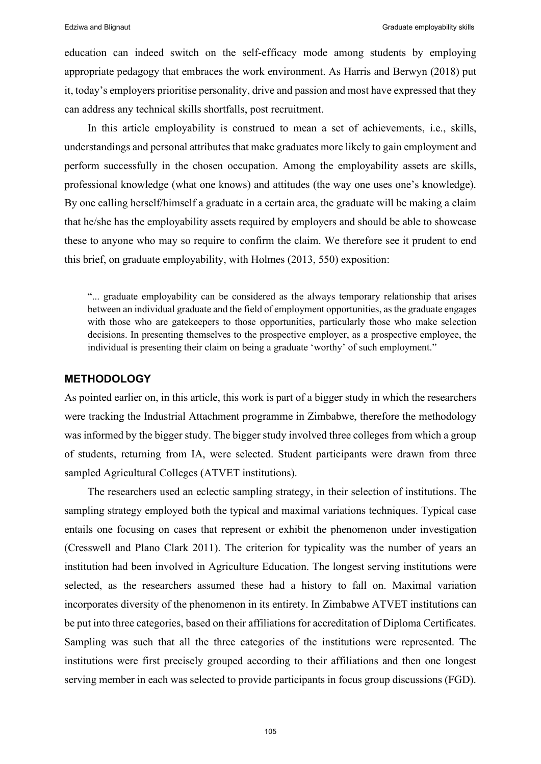education can indeed switch on the self-efficacy mode among students by employing appropriate pedagogy that embraces the work environment. As Harris and Berwyn (2018) put it, today's employers prioritise personality, drive and passion and most have expressed that they can address any technical skills shortfalls, post recruitment.

In this article employability is construed to mean a set of achievements, i.e., skills, understandings and personal attributes that make graduates more likely to gain employment and perform successfully in the chosen occupation. Among the employability assets are skills, professional knowledge (what one knows) and attitudes (the way one uses one's knowledge). By one calling herself/himself a graduate in a certain area, the graduate will be making a claim that he/she has the employability assets required by employers and should be able to showcase these to anyone who may so require to confirm the claim. We therefore see it prudent to end this brief, on graduate employability, with Holmes (2013, 550) exposition:

"... graduate employability can be considered as the always temporary relationship that arises between an individual graduate and the field of employment opportunities, as the graduate engages with those who are gatekeepers to those opportunities, particularly those who make selection decisions. In presenting themselves to the prospective employer, as a prospective employee, the individual is presenting their claim on being a graduate 'worthy' of such employment."

#### **METHODOLOGY**

As pointed earlier on, in this article, this work is part of a bigger study in which the researchers were tracking the Industrial Attachment programme in Zimbabwe, therefore the methodology was informed by the bigger study. The bigger study involved three colleges from which a group of students, returning from IA, were selected. Student participants were drawn from three sampled Agricultural Colleges (ATVET institutions).

The researchers used an eclectic sampling strategy, in their selection of institutions. The sampling strategy employed both the typical and maximal variations techniques. Typical case entails one focusing on cases that represent or exhibit the phenomenon under investigation (Cresswell and Plano Clark 2011). The criterion for typicality was the number of years an institution had been involved in Agriculture Education. The longest serving institutions were selected, as the researchers assumed these had a history to fall on. Maximal variation incorporates diversity of the phenomenon in its entirety. In Zimbabwe ATVET institutions can be put into three categories, based on their affiliations for accreditation of Diploma Certificates. Sampling was such that all the three categories of the institutions were represented. The institutions were first precisely grouped according to their affiliations and then one longest serving member in each was selected to provide participants in focus group discussions (FGD).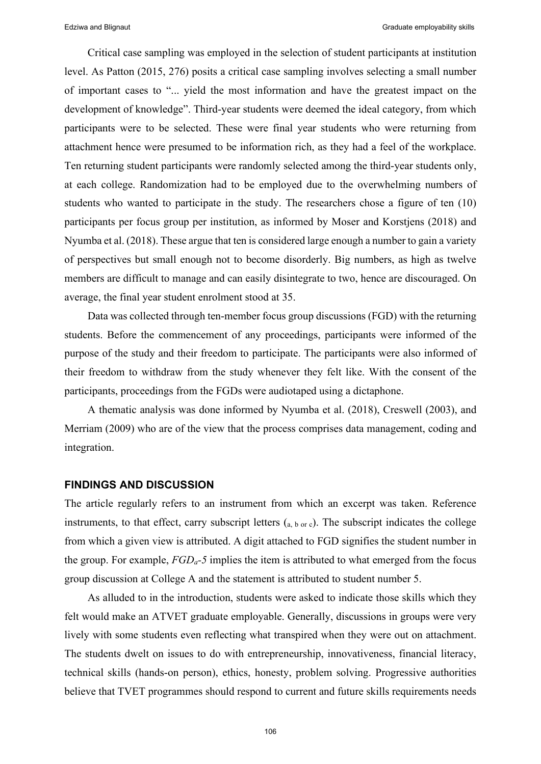Critical case sampling was employed in the selection of student participants at institution level. As Patton (2015, 276) posits a critical case sampling involves selecting a small number of important cases to "... yield the most information and have the greatest impact on the development of knowledge". Third-year students were deemed the ideal category, from which participants were to be selected. These were final year students who were returning from attachment hence were presumed to be information rich, as they had a feel of the workplace. Ten returning student participants were randomly selected among the third-year students only, at each college. Randomization had to be employed due to the overwhelming numbers of students who wanted to participate in the study. The researchers chose a figure of ten (10) participants per focus group per institution, as informed by Moser and Korstjens (2018) and Nyumba et al. (2018). These argue that ten is considered large enough a number to gain a variety of perspectives but small enough not to become disorderly. Big numbers, as high as twelve members are difficult to manage and can easily disintegrate to two, hence are discouraged. On average, the final year student enrolment stood at 35.

Data was collected through ten-member focus group discussions (FGD) with the returning students. Before the commencement of any proceedings, participants were informed of the purpose of the study and their freedom to participate. The participants were also informed of their freedom to withdraw from the study whenever they felt like. With the consent of the participants, proceedings from the FGDs were audiotaped using a dictaphone.

A thematic analysis was done informed by Nyumba et al. (2018), Creswell (2003), and Merriam (2009) who are of the view that the process comprises data management, coding and integration.

#### **FINDINGS AND DISCUSSION**

The article regularly refers to an instrument from which an excerpt was taken. Reference instruments, to that effect, carry subscript letters  $(a, b, or c)$ . The subscript indicates the college from which a given view is attributed. A digit attached to FGD signifies the student number in the group. For example, *FGDa-5* implies the item is attributed to what emerged from the focus group discussion at College A and the statement is attributed to student number 5.

As alluded to in the introduction, students were asked to indicate those skills which they felt would make an ATVET graduate employable. Generally, discussions in groups were very lively with some students even reflecting what transpired when they were out on attachment. The students dwelt on issues to do with entrepreneurship, innovativeness, financial literacy, technical skills (hands-on person), ethics, honesty, problem solving. Progressive authorities believe that TVET programmes should respond to current and future skills requirements needs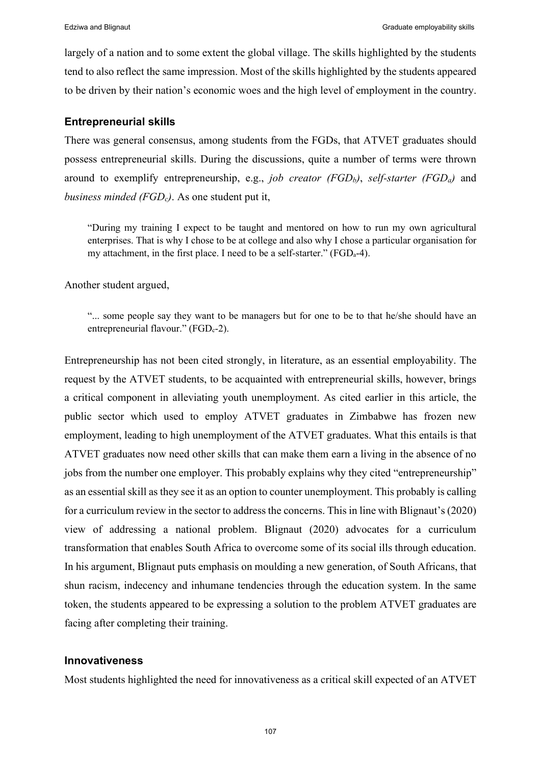largely of a nation and to some extent the global village. The skills highlighted by the students tend to also reflect the same impression. Most of the skills highlighted by the students appeared to be driven by their nation's economic woes and the high level of employment in the country.

#### **Entrepreneurial skills**

There was general consensus, among students from the FGDs, that ATVET graduates should possess entrepreneurial skills. During the discussions, quite a number of terms were thrown around to exemplify entrepreneurship, e.g., *job creator (FGD<sub>b</sub>)*, *self-starter (FGD<sub>a</sub>)* and *business minded (FGD<sub>c</sub>)*. As one student put it,

"During my training I expect to be taught and mentored on how to run my own agricultural enterprises. That is why I chose to be at college and also why I chose a particular organisation for my attachment, in the first place. I need to be a self-starter." (FGD<sub>a</sub>-4).

Another student argued,

"... some people say they want to be managers but for one to be to that he/she should have an entrepreneurial flavour." ( $FGD_c-2$ ).

Entrepreneurship has not been cited strongly, in literature, as an essential employability. The request by the ATVET students, to be acquainted with entrepreneurial skills, however, brings a critical component in alleviating youth unemployment. As cited earlier in this article, the public sector which used to employ ATVET graduates in Zimbabwe has frozen new employment, leading to high unemployment of the ATVET graduates. What this entails is that ATVET graduates now need other skills that can make them earn a living in the absence of no jobs from the number one employer. This probably explains why they cited "entrepreneurship" as an essential skill as they see it as an option to counter unemployment. This probably is calling for a curriculum review in the sector to address the concerns. This in line with Blignaut's (2020) view of addressing a national problem. Blignaut (2020) advocates for a curriculum transformation that enables South Africa to overcome some of its social ills through education. In his argument, Blignaut puts emphasis on moulding a new generation, of South Africans, that shun racism, indecency and inhumane tendencies through the education system. In the same token, the students appeared to be expressing a solution to the problem ATVET graduates are facing after completing their training.

# **Innovativeness**

Most students highlighted the need for innovativeness as a critical skill expected of an ATVET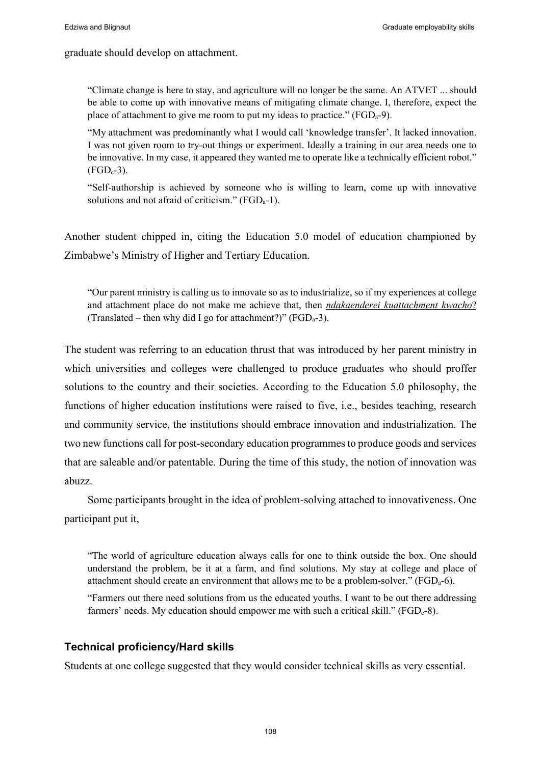graduate should develop on attachment.

"Climate change is here to stay, and agriculture will no longer be the same. An ATVET ... should be able to come up with innovative means of mitigating climate change. I, therefore, expect the place of attachment to give me room to put my ideas to practice." ( $FGD_a-9$ ).

"My attachment was predominantly what I would call 'knowledge transfer'. It lacked innovation. I was not given room to try-out things or experiment. Ideally a training in our area needs one to be innovative. In my case, it appeared they wanted me to operate like a technically efficient robot."  $(FGD<sub>c</sub>-3)$ .

"Self-authorship is achieved by someone who is willing to learn, come up with innovative solutions and not afraid of criticism." (FGD<sub>a</sub>-1).

Another student chipped in, citing the Education 5.0 model of education championed by Zimbabwe's Ministry of Higher and Tertiary Education.

"Our parent ministry is calling us to innovate so as to industrialize, so if my experiences at college and attachment place do not make me achieve that, then *ndakaenderei kuattachment kwacho*? (Translated – then why did I go for attachment?)" ( $FGD_a-3$ ).

The student was referring to an education thrust that was introduced by her parent ministry in which universities and colleges were challenged to produce graduates who should proffer solutions to the country and their societies. According to the Education 5.0 philosophy, the functions of higher education institutions were raised to five, i.e., besides teaching, research and community service, the institutions should embrace innovation and industrialization. The two new functions call for post-secondary education programmes to produce goods and services that are saleable and/or patentable. During the time of this study, the notion of innovation was abuzz.

Some participants brought in the idea of problem-solving attached to innovativeness. One participant put it,

"The world of agriculture education always calls for one to think outside the box. One should understand the problem, be it at a farm, and find solutions. My stay at college and place of attachment should create an environment that allows me to be a problem-solver." ( $FGD<sub>a</sub>$ -6).

"Farmers out there need solutions from us the educated youths. I want to be out there addressing farmers' needs. My education should empower me with such a critical skill." ( $FGD_c-8$ ).

# **Technical proficiency/Hard skills**

Students at one college suggested that they would consider technical skills as very essential.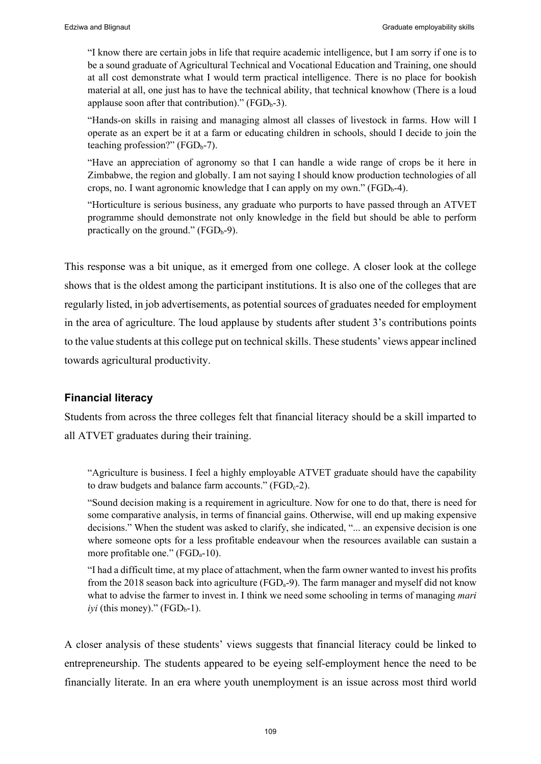"I know there are certain jobs in life that require academic intelligence, but I am sorry if one is to be a sound graduate of Agricultural Technical and Vocational Education and Training, one should at all cost demonstrate what I would term practical intelligence. There is no place for bookish material at all, one just has to have the technical ability, that technical knowhow (There is a loud applause soon after that contribution)."  $(FGD_b-3)$ .

"Hands-on skills in raising and managing almost all classes of livestock in farms. How will I operate as an expert be it at a farm or educating children in schools, should I decide to join the teaching profession?" ( $FGD<sub>b</sub>$ -7).

"Have an appreciation of agronomy so that I can handle a wide range of crops be it here in Zimbabwe, the region and globally. I am not saying I should know production technologies of all crops, no. I want agronomic knowledge that I can apply on my own."  $(FGD_{b-4})$ .

"Horticulture is serious business, any graduate who purports to have passed through an ATVET programme should demonstrate not only knowledge in the field but should be able to perform practically on the ground." ( $FGD_b-9$ ).

This response was a bit unique, as it emerged from one college. A closer look at the college shows that is the oldest among the participant institutions. It is also one of the colleges that are regularly listed, in job advertisements, as potential sources of graduates needed for employment in the area of agriculture. The loud applause by students after student 3's contributions points to the value students at this college put on technical skills. These students' views appear inclined towards agricultural productivity.

# **Financial literacy**

Students from across the three colleges felt that financial literacy should be a skill imparted to all ATVET graduates during their training.

"Agriculture is business. I feel a highly employable ATVET graduate should have the capability to draw budgets and balance farm accounts."  $(FGD_c-2)$ .

"Sound decision making is a requirement in agriculture. Now for one to do that, there is need for some comparative analysis, in terms of financial gains. Otherwise, will end up making expensive decisions." When the student was asked to clarify, she indicated, "... an expensive decision is one where someone opts for a less profitable endeavour when the resources available can sustain a more profitable one." (FGD<sub>a</sub>-10).

"I had a difficult time, at my place of attachment, when the farm owner wanted to invest his profits from the 2018 season back into agriculture ( $FGD<sub>a</sub>$ -9). The farm manager and myself did not know what to advise the farmer to invest in. I think we need some schooling in terms of managing *mari (this money)." (FGD<sub>b</sub>-1).* 

A closer analysis of these students' views suggests that financial literacy could be linked to entrepreneurship. The students appeared to be eyeing self-employment hence the need to be financially literate. In an era where youth unemployment is an issue across most third world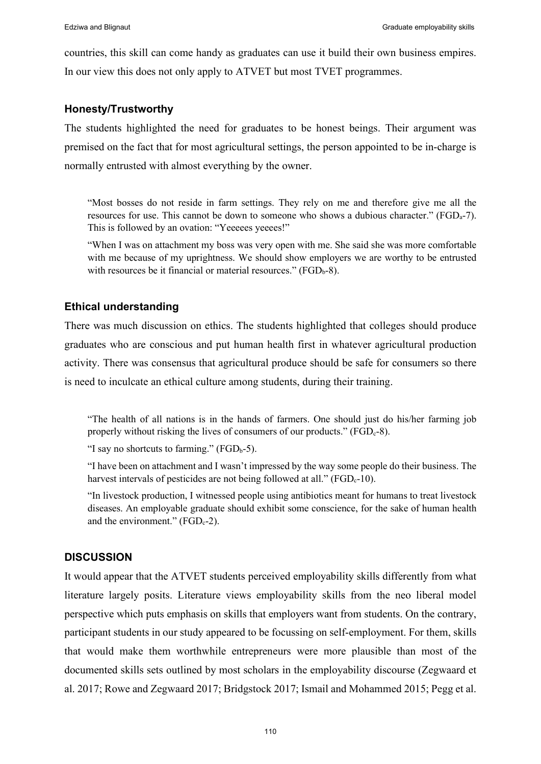countries, this skill can come handy as graduates can use it build their own business empires. In our view this does not only apply to ATVET but most TVET programmes.

## **Honesty/Trustworthy**

The students highlighted the need for graduates to be honest beings. Their argument was premised on the fact that for most agricultural settings, the person appointed to be in-charge is normally entrusted with almost everything by the owner.

"Most bosses do not reside in farm settings. They rely on me and therefore give me all the resources for use. This cannot be down to someone who shows a dubious character." ( $FGD_a-7$ ). This is followed by an ovation: "Yeeeees yeeees!"

"When I was on attachment my boss was very open with me. She said she was more comfortable with me because of my uprightness. We should show employers we are worthy to be entrusted with resources be it financial or material resources."  $(FGD_b-8)$ .

# **Ethical understanding**

There was much discussion on ethics. The students highlighted that colleges should produce graduates who are conscious and put human health first in whatever agricultural production activity. There was consensus that agricultural produce should be safe for consumers so there is need to inculcate an ethical culture among students, during their training.

"The health of all nations is in the hands of farmers. One should just do his/her farming job properly without risking the lives of consumers of our products." ( $FGD_c-8$ ).

"I say no shortcuts to farming."  $(FGD_b-5)$ .

"I have been on attachment and I wasn't impressed by the way some people do their business. The harvest intervals of pesticides are not being followed at all."  $(FGD_c-10)$ .

"In livestock production, I witnessed people using antibiotics meant for humans to treat livestock diseases. An employable graduate should exhibit some conscience, for the sake of human health and the environment." ( $FGD_c-2$ ).

# **DISCUSSION**

It would appear that the ATVET students perceived employability skills differently from what literature largely posits. Literature views employability skills from the neo liberal model perspective which puts emphasis on skills that employers want from students. On the contrary, participant students in our study appeared to be focussing on self-employment. For them, skills that would make them worthwhile entrepreneurs were more plausible than most of the documented skills sets outlined by most scholars in the employability discourse (Zegwaard et al. 2017; Rowe and Zegwaard 2017; Bridgstock 2017; Ismail and Mohammed 2015; Pegg et al.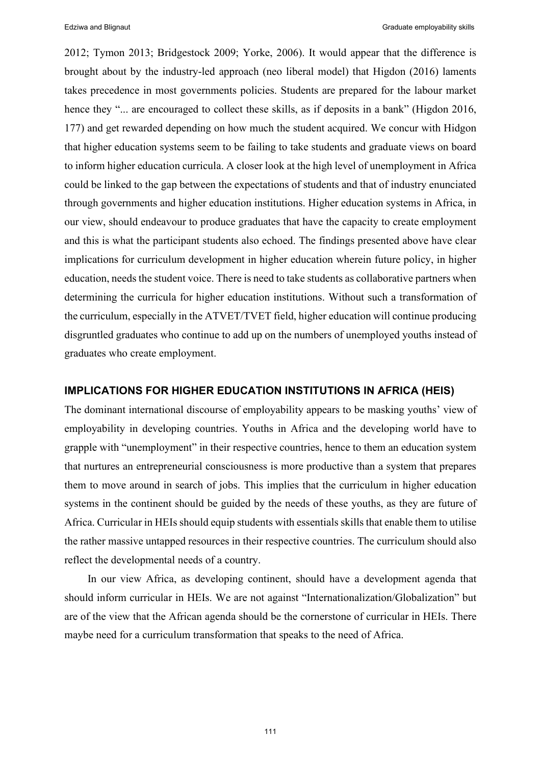2012; Tymon 2013; Bridgestock 2009; Yorke, 2006). It would appear that the difference is brought about by the industry-led approach (neo liberal model) that Higdon (2016) laments takes precedence in most governments policies. Students are prepared for the labour market hence they "... are encouraged to collect these skills, as if deposits in a bank" (Higdon 2016, 177) and get rewarded depending on how much the student acquired. We concur with Hidgon that higher education systems seem to be failing to take students and graduate views on board to inform higher education curricula. A closer look at the high level of unemployment in Africa could be linked to the gap between the expectations of students and that of industry enunciated through governments and higher education institutions. Higher education systems in Africa, in our view, should endeavour to produce graduates that have the capacity to create employment and this is what the participant students also echoed. The findings presented above have clear implications for curriculum development in higher education wherein future policy, in higher education, needs the student voice. There is need to take students as collaborative partners when determining the curricula for higher education institutions. Without such a transformation of the curriculum, especially in the ATVET/TVET field, higher education will continue producing disgruntled graduates who continue to add up on the numbers of unemployed youths instead of graduates who create employment.

# **IMPLICATIONS FOR HIGHER EDUCATION INSTITUTIONS IN AFRICA (HEIS)**

The dominant international discourse of employability appears to be masking youths' view of employability in developing countries. Youths in Africa and the developing world have to grapple with "unemployment" in their respective countries, hence to them an education system that nurtures an entrepreneurial consciousness is more productive than a system that prepares them to move around in search of jobs. This implies that the curriculum in higher education systems in the continent should be guided by the needs of these youths, as they are future of Africa. Curricular in HEIs should equip students with essentials skills that enable them to utilise the rather massive untapped resources in their respective countries. The curriculum should also reflect the developmental needs of a country.

In our view Africa, as developing continent, should have a development agenda that should inform curricular in HEIs. We are not against "Internationalization/Globalization" but are of the view that the African agenda should be the cornerstone of curricular in HEIs. There maybe need for a curriculum transformation that speaks to the need of Africa.

111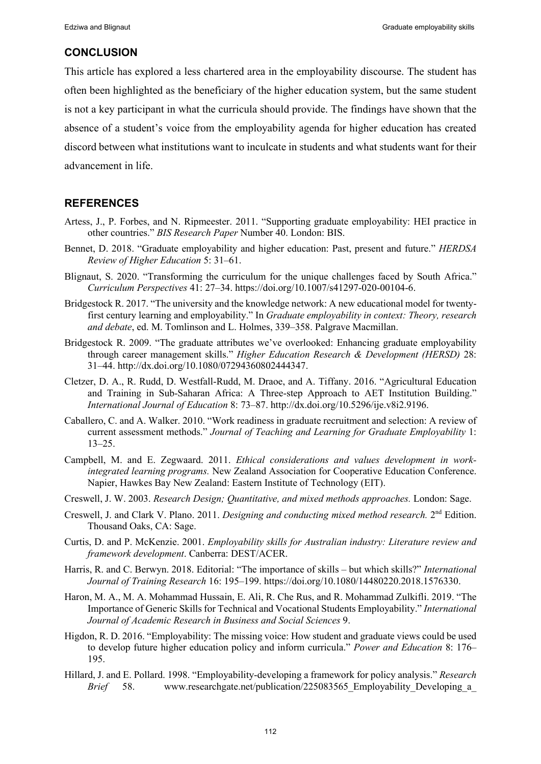# **CONCLUSION**

This article has explored a less chartered area in the employability discourse. The student has often been highlighted as the beneficiary of the higher education system, but the same student is not a key participant in what the curricula should provide. The findings have shown that the absence of a student's voice from the employability agenda for higher education has created discord between what institutions want to inculcate in students and what students want for their advancement in life.

# **REFERENCES**

- Artess, J., P. Forbes, and N. Ripmeester. 2011. "Supporting graduate employability: HEI practice in other countries." *BIS Research Paper* Number 40. London: BIS.
- Bennet, D. 2018. "Graduate employability and higher education: Past, present and future." *HERDSA Review of Higher Education* 5: 31‒61.
- Blignaut, S. 2020. "Transforming the curriculum for the unique challenges faced by South Africa." *Curriculum Perspectives* 41: 27‒34. https://doi.org/10.1007/s41297-020-00104-6.
- Bridgestock R. 2017. "The university and the knowledge network: A new educational model for twentyfirst century learning and employability." In *Graduate employability in context: Theory, research*  and debate, ed. M. Tomlinson and L. Holmes, 339–358. Palgrave Macmillan.
- Bridgestock R. 2009. "The graduate attributes we've overlooked: Enhancing graduate employability through career management skills." *Higher Education Research & Development (HERSD)* 28: 31‒44. http://dx.doi.org/10.1080/07294360802444347.
- Cletzer, D. A., R. Rudd, D. Westfall-Rudd, M. Draoe, and A. Tiffany. 2016. "Agricultural Education and Training in Sub-Saharan Africa: A Three-step Approach to AET Institution Building." *International Journal of Education* 8: 73‒87. http://dx.doi.org/10.5296/ije.v8i2.9196.
- Caballero, C. and A. Walker. 2010. "Work readiness in graduate recruitment and selection: A review of current assessment methods." *Journal of Teaching and Learning for Graduate Employability* 1:  $13 - 25.$
- Campbell, M. and E. Zegwaard. 2011. *Ethical considerations and values development in workintegrated learning programs.* New Zealand Association for Cooperative Education Conference. Napier, Hawkes Bay New Zealand: Eastern Institute of Technology (EIT).
- Creswell, J. W. 2003. *Research Design; Quantitative, and mixed methods approaches.* London: Sage.
- Creswell, J. and Clark V. Plano. 2011. *Designing and conducting mixed method research.* 2nd Edition. Thousand Oaks, CA: Sage.
- Curtis, D. and P. McKenzie. 2001. *Employability skills for Australian industry: Literature review and framework development*. Canberra: DEST/ACER.
- Harris, R. and C. Berwyn. 2018. Editorial: "The importance of skills but which skills?" *International Journal of Training Research* 16: 195‒199. https://doi.org/10.1080/14480220.2018.1576330.
- Haron, M. A., M. A. Mohammad Hussain, E. Ali, R. Che Rus, and R. Mohammad Zulkifli. 2019. "The Importance of Generic Skills for Technical and Vocational Students Employability." *International Journal of Academic Research in Business and Social Sciences* 9.
- Higdon, R. D. 2016. "Employability: The missing voice: How student and graduate views could be used to develop future higher education policy and inform curricula." *Power and Education* 8: 176– 195.
- Hillard, J. and E. Pollard. 1998. "Employability-developing a framework for policy analysis." *Research Brief* 58. www.researchgate.net/publication/225083565 Employability Developing a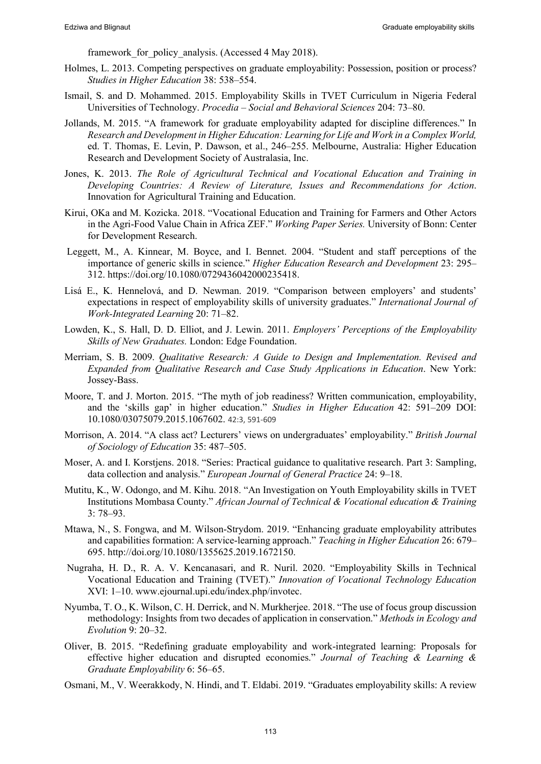framework for policy analysis. (Accessed 4 May 2018).

- Holmes, L. 2013. Competing perspectives on graduate employability: Possession, position or process? *Studies in Higher Education* 38: 538–554.
- Ismail, S. and D. Mohammed. 2015. Employability Skills in TVET Curriculum in Nigeria Federal Universities of Technology. *Procedia ‒ Social and Behavioral Sciences* 204: 73‒80.
- Jollands, M. 2015. "A framework for graduate employability adapted for discipline differences." In *Research and Development in Higher Education: Learning for Life and Work in a Complex World,* ed. T. Thomas, E. Levin, P. Dawson, et al., 246–255. Melbourne, Australia: Higher Education Research and Development Society of Australasia, Inc.
- Jones, K. 2013. *The Role of Agricultural Technical and Vocational Education and Training in Developing Countries: A Review of Literature, Issues and Recommendations for Action*. Innovation for Agricultural Training and Education.
- Kirui, OKa and M. Kozicka. 2018. "Vocational Education and Training for Farmers and Other Actors in the Agri-Food Value Chain in Africa ZEF." *Working Paper Series.* University of Bonn: Center for Development Research.
- Leggett, M., A. Kinnear, M. Boyce, and I. Bennet. 2004. "Student and staff perceptions of the importance of generic skills in science." *Higher Education Research and Development* 23: 295– 312. https://doi.org/10.1080/0729436042000235418.
- Lisá E., K. Hennelová, and D. Newman. 2019. "Comparison between employers' and students' expectations in respect of employability skills of university graduates." *International Journal of Work-Integrated Learning* 20: 71‒82.
- Lowden, K., S. Hall, D. D. Elliot, and J. Lewin. 2011. *Employers' Perceptions of the Employability Skills of New Graduates.* London: Edge Foundation.
- Merriam, S. B. 2009. *Qualitative Research: A Guide to Design and Implementation. Revised and Expanded from Qualitative Research and Case Study Applications in Education*. New York: Jossey-Bass.
- Moore, T. and J. Morton. 2015. "The myth of job readiness? Written communication, employability, and the 'skills gap' in higher education." *Studies in Higher Education* 42: 591-209 DOI: 10.1080/03075079.2015.1067602. 42:3, 591-609
- Morrison, A. 2014. "A class act? Lecturers' views on undergraduates' employability." *British Journal of Sociology of Education* 35: 487‒505.
- Moser, A. and I. Korstjens. 2018. "Series: Practical guidance to qualitative research. Part 3: Sampling, data collection and analysis." *European Journal of General Practice* 24: 9-18.
- Mutitu, K., W. Odongo, and M. Kihu. 2018. "An Investigation on Youth Employability skills in TVET Institutions Mombasa County." *African Journal of Technical & Vocational education & Training* 3: 78‒93.
- Mtawa, N., S. Fongwa, and M. Wilson-Strydom. 2019. "Enhancing graduate employability attributes and capabilities formation: A service-learning approach." *Teaching in Higher Education* 26: 679– 695. http://doi.org/10.1080/1355625.2019.1672150.
- Nugraha, H. D., R. A. V. Kencanasari, and R. Nuril. 2020. "Employability Skills in Technical Vocational Education and Training (TVET)." *Innovation of Vocational Technology Education* XVI: 1‒10. www.ejournal.upi.edu/index.php/invotec.
- Nyumba, T. O., K. Wilson, C. H. Derrick, and N. Murkherjee. 2018. "The use of focus group discussion methodology: Insights from two decades of application in conservation." *Methods in Ecology and Evolution* 9: 20‒32.
- Oliver, B. 2015. "Redefining graduate employability and work-integrated learning: Proposals for effective higher education and disrupted economies." *Journal of Teaching & Learning & Graduate Employability* 6: 56‒65.
- Osmani, M., V. Weerakkody, N. Hindi, and T. Eldabi. 2019. "Graduates employability skills: A review